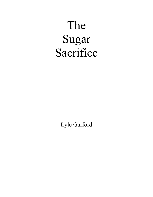## The Sugar Sacrifice

Lyle Garford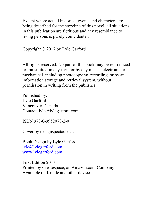Except where actual historical events and characters are being described for the storyline of this novel, all situations in this publication are fictitious and any resemblance to living persons is purely coincidental.

Copyright © 2017 by Lyle Garford

All rights reserved. No part of this book may be reproduced or transmitted in any form or by any means, electronic or mechanical, including photocopying, recording, or by an information storage and retrieval system, without permission in writing from the publisher.

Published by: Lyle Garford Vancouver, Canada Contact: lyle@lylegarford.com

ISBN 978-0-9952078-2-0

Cover by designspectacle.ca

Book Design by Lyle Garford lyle@lylegarford.com www.lylegarford.com

First Edition 2017 Printed by Createspace, an Amazon.com Company. Available on Kindle and other devices.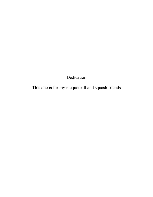## Dedication

This one is for my racquetball and squash friends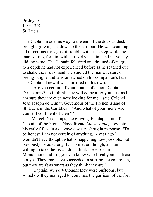Prologue June 1792 St. Lucia

The Captain made his way to the end of the dock as dusk brought growing shadows to the harbour. He was scanning all directions for signs of trouble with each step while the man waiting for him with a travel valise in hand nervously did the same. The Captain felt tired and drained of energy to a depth he had not experienced before as he reached out to shake the man's hand. He studied the man's features, seeing fatigue and tension etched on his companion's face. The Captain knew it was mirrored on his own.

"Are you certain of your course of action, Captain Deschamps? I still think they will come after you, just as I am sure they are even now looking for me," said Colonel Jean Joseph de Gimat, Governour of the French island of St. Lucia in the Caribbean. "And what of your men? Are you still confident of them?"

Marcel Deschamps, the greying, but dapper and fit Captain of the French Navy frigate *Marie-Anne,* now into his early fifties in age, gave a weary shrug in response. "To be honest, I am not certain of anything. A year ago I wouldn't have thought what is happening now possible, but obviously I was wrong. It's no matter, though, as I am willing to take the risk. I don't think these bastards Montdenoix and Linger even know who I really am, at least not yet. They may have succeeded in stirring the colony up, but they aren't as smart as they think they are."

"Captain, we *both* thought they were buffoons, but somehow they managed to convince the garrison of the fort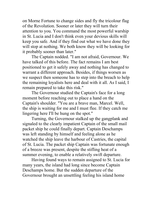on Morne Fortune to change sides and fly the tricolour flag of the Revolution. Sooner or later they will turn their attention to you. You command the most powerful warship in St. Lucia and I don't think even your devious skills will keep you safe. And if they find out what we have done they will stop at nothing. We both know they will be looking for it probably sooner than later."

The Captain nodded. "I am not afraid, Governour. We have talked of this before. The fact remains I am best positioned to get it safely away and nothing has changed to warrant a different approach. Besides, if things worsen as we suspect then someone has to step into the breach to help the remaining loyalists here and deal with it all. As I said, I remain prepared to take this risk."

The Governour studied the Captain's face for a long moment before reaching out to place a hand on the Captain's shoulder. "You are a brave man, Marcel. Well, the ship is waiting for me and I must flee. If they catch me lingering here I'll be hung on the spot."

Turning, the Governour stalked up the gangplank and signaled to the clearly impatient Captain of the small mail packet ship he could finally depart. Captain Deschamps was left standing by himself and feeling alone as he watched the ship leave the harbour of Castries, the capital of St. Lucia. The packet ship Captain was fortunate enough of a breeze was present, despite the stifling heat of a summer evening, to enable a relatively swift departure.

Having found ways to remain assigned to St. Lucia for many years, the island had long since become Captain Deschamps home. But the sudden departure of the Governour brought an unsettling feeling his island home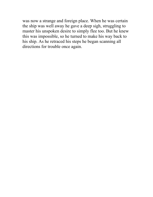was now a strange and foreign place. When he was certain the ship was well away he gave a deep sigh, struggling to master his unspoken desire to simply flee too. But he knew this was impossible, so he turned to make his way back to his ship. As he retraced his steps he began scanning all directions for trouble once again.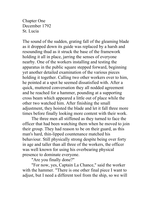Chapter One December 1792 St. Lucia

The sound of the sudden, grating fall of the gleaming blade as it dropped down its guide was replaced by a harsh and resounding thud as it struck the base of the framework holding it all in place, jarring the senses of everyone nearby. One of the workers installing and testing the apparatus in the public square stepped forward, beginning yet another detailed examination of the various pieces holding it together. Calling two other workers over to him, he pointed at a spot he seemed dissatisfied with. After a quick, muttered conversation they all nodded agreement and he reached for a hammer, pounding at a supporting cross beam which appeared a little out of place while the other two watched him. After finishing the small adjustment, they hoisted the blade and let it fall three more times before finally looking more content with their work.

The three men all stiffened as they turned to face the officer that had been watching them when he moved to join their group. They had reason to be on their guard, as this man's hard, thin-lipped countenance matched his behaviour. Still physically strong despite being over forty in age and taller than all three of the workers, the officer was well known for using his overbearing physical presence to dominate everyone.

"Are you finally done?"

"For now, yes, Captain La Chance," said the worker with the hammer. "There is one other final piece I want to adjust, but I need a different tool from the ship, so we will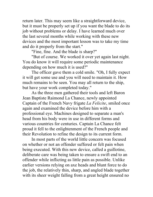return later. This may seem like a straightforward device, but it must be properly set up if you want the blade to do its job without problems or delay. I have learned much over the last several months while working with these new devices and the most important lesson was to take my time and do it properly from the start."

"Fine, fine. And the blade is sharp?"

"But of course. We worked it over yet again last night. You do know it will require some periodic maintenance depending on how much it is used?"

The officer gave them a cold smile. "Oh, I fully expect it will get some use and you will need to maintain it. How much remains to be seen. You may all return to the ship, but have your work completed today."

As the three men gathered their tools and left Baron Jean Baptiste Raimond La Chance, newly appointed Captain of the French Navy frigate *La Felicite*, smiled once again and examined the device before him with a professional eye. Machines designed to separate a man's head from his body were in use in different forms and various countries for centuries. Captain La Chance felt proud it fell to the enlightenment of the French people and their Revolution to refine the design to its current form.

In most parts of the world little concern was focused on whether or not an offender suffered or felt pain when being executed. With this new device, called a guillotine, deliberate care was being taken to ensure a swift end to an offender while inflicting as little pain as possible. Unlike earlier versions relying on axe heads and blunt force to do the job, the relatively thin, sharp, and angled blade together with its sheer weight falling from a great height ensured no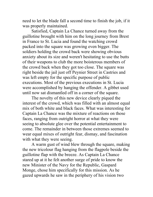need to let the blade fall a second time to finish the job, if it was properly maintained.

Satisfied, Captain La Chance turned away from the guillotine brought with him on the long journey from Brest in France to St. Lucia and found the watching crowd packed into the square was growing even bigger. The soldiers holding the crowd back were showing obvious anxiety about its size and weren't hesitating to use the butts of their weapons to club the more boisterous members of the crowd back when they got too close. The square was right beside the jail just off Peynier Street in Castries and was left empty for the specific purpose of public executions. Most of the previous executions in St. Lucia were accomplished by hanging the offender. A gibbet used until now sat dismantled off in a corner of the square.

The novelty of this new device clearly piqued the interest of the crowd, which was filled with an almost equal mix of both white and black faces. What was interesting for Captain La Chance was the mixture of reactions on those faces, ranging from outright horror at what they were seeing to absolute glee over the potential entertainment to come. The remainder in between those extremes seemed to wear equal mixes of outright fear, dismay, and fascination with what they were seeing.

A warm gust of wind blew through the square, making the new tricolour flag hanging from the flagpole beside the guillotine flap with the breeze. As Captain La Chance stared up at it he felt another surge of pride to know the new Minister of the Navy for the Republic, Gaspard Monge, chose him specifically for this mission. As he gazed upwards he saw in the periphery of his vision two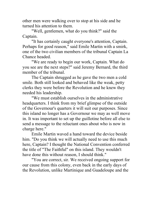other men were walking over to stop at his side and he turned his attention to them.

"Well, gentlemen, what do you think?" said the Captain.

"It has certainly caught everyone's attention, Captain. Perhaps for good reason," said Emile Martin with a smirk, one of the two civilian members of the tribunal Captain La Chance headed.

"We are ready to begin our work, Captain. What do you see are the next steps?" said Jeremy Bernard, the third member of the tribunal.

The Captain shrugged as he gave the two men a cold smile. Both still looked and behaved like the weak, petty clerks they were before the Revolution and he knew they needed his leadership.

"We must establish ourselves in the administrative headquarters. I think from my brief glimpse of the outside of the Governour's quarters it will suit our purposes. Since this island no longer has a Governour we may as well move in. It was important to set up the guillotine before all else to send a message to the reluctant ones about who is now in charge here."

Emile Martin waved a hand toward the device beside him. "Do you think we will actually need to use this much here, Captain? I thought the National Convention conferred the title of "The Faithful" on this island. They wouldn't have done this without reason, I should think."

"You are correct, sir. We received ongoing support for our cause from this colony, even back in the early days of the Revolution, unlike Martinique and Guadeloupe and the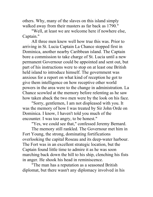others. Why, many of the slaves on this island simply walked away from their masters as far back as 1790."

"Well, at least we are welcome here if nowhere else, Captain."

All three men knew well how true this was. Prior to arriving in St. Lucia Captain La Chance stopped first in Dominica, another nearby Caribbean island. The Captain bore a commission to take charge of St. Lucia until a new permanent Governour could be appointed and sent out, but part of his instructions were to stop on at least one British held island to introduce himself. The government was anxious for a report on what kind of reception he got to give them intelligence on how receptive other world powers in the area were to the change in administration. La Chance scowled at the memory before relenting as he saw how taken aback the two men were by the look on his face.

"Sorry, gentlemen, I am not displeased with you. It was the memory of how I was treated by Sir John Orde on Dominica. I know, I haven't told you much of the encounter. I was too angry, to be honest."

"Yes, we could see that," confessed Jeremy Bernard.

The memory still rankled. The Governour met him in Fort Young, the strong, dominating fortifications overlooking the capital Roseau and its deep-water harbour. The Fort was in an excellent strategic location, but the Captain found little time to admire it as he was soon marching back down the hill to his ship, clenching his fists in anger. He shook his head in reminiscence.

"The man has a reputation as a seasoned British diplomat, but there wasn't any diplomacy involved in his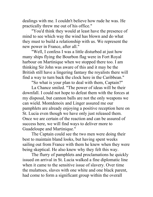dealings with me. I couldn't believe how rude he was. He practically threw me out of his office."

"You'd think they would at least have the presence of mind to see which way the wind has blown and do what they must to build a relationship with us. We represent the new power in France, after all."

"Well, I confess I was a little disturbed at just how many ships flying the Bourbon flag were in Fort Royal harbour on Martinique when we stopped there too. I am thinking Sir John was aware of this and it may be the British still have a lingering fantasy the royalists there will find a way to turn back the clock here in the Caribbean."

"So what is your plan to deal with them, Captain?"

La Chance smiled. "The power of ideas will be their downfall. I could not hope to defeat them with the forces at my disposal, but cannon balls are not the only weapons we can wield. Montdenoix and Linger assured me our pamphlets are already enjoying a positive reception here on St. Lucia even though we have only just released them. Once we are certain of the reaction and can be assured of success here, we will find ways to deliver more to Guadeloupe and Martinique."

The Captain could see the two men were doing their best to maintain bland looks, but having spent weeks sailing out from France with them he knew when they were being skeptical. He also knew why they felt this way.

The flurry of pamphlets and proclamations he quickly issued on arrival in St. Lucia walked a fine diplomatic line when it came to the sensitive issue of slavery. Over time the mulattoes, slaves with one white and one black parent, had come to form a significant group within the overall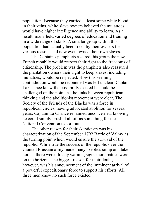population. Because they carried at least some white blood in their veins, white slave owners believed the mulattoes would have higher intelligence and ability to learn. As a result, many held varied degrees of education and training in a wide range of skills. A smaller group within this population had actually been freed by their owners for various reasons and now even owned their own slaves.

The Captain's pamphlets assured this group the new French republic would respect their right to the freedoms of citizenship. The problem was the pamphlets also reassured the plantation owners their right to keep slaves, including mulattoes, would be respected. How this seeming contradiction would be reconciled was left unclear. Captain La Chance knew the possibility existed he could be challenged on the point, as the links between republican thinking and the abolitionist movement were clear. The Society of the Friends of the Blacks was a force in republican circles, having advocated abolition for several years. Captain La Chance remained unconcerned, knowing he could simply brush it all off as something for the National Convention to sort out.

The other reason for their skepticism was his characterization of the September 1792 Battle of Valmy as the turning point which would ensure the survival of the republic. While true the success of the republic over the vaunted Prussian army made many skeptics sit up and take notice, there were already warning signs more battles were on the horizon. The biggest reason for their doubt, however, was his announcement of the imminent arrival of a powerful expeditionary force to support his efforts. All three men knew no such force existed.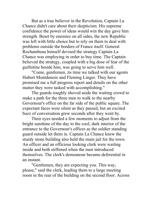But as a true believer in the Revolution, Captain La Chance didn't care about their skepticism. His supreme confidence the power of ideas would win the day gave him strength. Beset by enemies on all sides, the new Republic was left with little choice but to rely on them to deal with problems outside the borders of France itself. General Rochambeau himself devised the strategy Captain La Chance was employing in order to buy time. The Captain believed the strategy, coupled with a big dose of fear of the guillotine beside him, was going to serve him well.

"Come, gentlemen, its time we talked with our agents Hubert Montdenoix and Fleming Linger. They have promised me a full progress report and details on the other matter they were tasked with accomplishing."

The guards roughly shoved aside the waiting crowd to make a path for the three men to walk to the nearby Governour's office on the far side of the public square. The expectant faces were silent as they passed, but an excited buzz of conversation grew seconds after they went by.

Their eyes needed a few moments to adjust from the bright sunshine of the day to the cool, dark interior of the entrance to the Governour's offices as the soldier standing guard outside let them in. Captain La Chance knew the sturdy stone building also held the main jail for the town. An officer and an officious looking clerk were waiting inside and both stiffened when the men introduced themselves. The clerk's demeanour became deferential in an instant.

"Gentlemen, they are expecting you. This way, please," said the clerk, leading them to a large meeting room in the rear of the building on the second floor. Across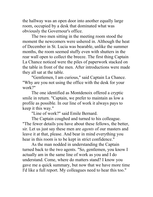the hallway was an open door into another equally large room, occupied by a desk that dominated what was obviously the Governour's office.

The two men sitting in the meeting room stood the moment the newcomers were ushered in. Although the heat of December in St. Lucia was bearable, unlike the summer months, the room seemed stuffy even with shutters in the rear wall open to collect the breeze. The first thing Captain La Chance noticed were the piles of paperwork stacked on the table in front of the men. After introductions were made they all sat at the table.

"Gentlemen, I am curious," said Captain La Chance. "Why are you not using the office with the desk for your work?"

The one identified as Montdenoix offered a cryptic smile in return. "Captain, we prefer to maintain as low a profile as possible. In our line of work it always pays to keep it this way."

"Line of work?" said Emile Bernard.

The Captain coughed and turned to his colleague. "The fewer details you have about these fellows, the better, sir. Let us just say these men are *agents* of our masters and leave it at that, please. And bear in mind everything you hear in this room is to be kept in strict confidence."

As the man nodded in understanding the Captain turned back to the two agents. "So, gentlemen, you know I actually am in the same line of work as you and I do understand. Come, where do matters stand? I know you gave me a quick summary, but now that we have more time I'd like a full report. My colleagues need to hear this too."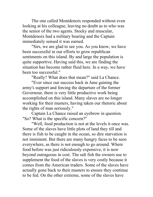The one called Montdenoix responded without even looking at his colleague, leaving no doubt as to who was the senior of the two agents. Stocky and muscular, Montdenoix had a military bearing and the Captain immediately sensed it was earned.

"Sirs, we are glad to see you. As you know, we have been successful in our efforts to grow republican sentiments on this island. By and large the population is quite supportive. Having said this, we are finding the situation has become rather fluid here. In a way, we have been too successful."

"Really? What does that mean?" said La Chance.

"Ever since our success back in June gaining the army's support and forcing the departure of the former Governour, there is very little productive work being accomplished on this island. Many slaves are no longer working for their masters, having taken our rhetoric about the rights of man seriously."

Captain La Chance raised an eyebrow in question. "So? What is the specific concern?"

"Well, food production is not at the levels it once was. Some of the slaves have little plots of land they till and there is fish to be caught in the ocean, so dire starvation is not imminent. But there are many hungry faces to be seen everywhere, as there is not enough to go around. Where food before was just ridiculously expensive, it is now beyond outrageous in cost. The salt fish the owners use to supplement the food of the slaves is very costly because it comes from the American traders. Some of the slaves have actually gone back to their masters to ensure they continue to be fed. On the other extreme, some of the slaves have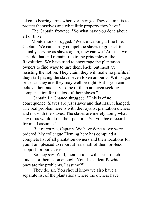taken to bearing arms wherever they go. They claim it is to protect themselves and what little property they have."

The Captain frowned. "So what have you done about all of this?"

Montdenoix shrugged. "We are walking a fine line, Captain. We can hardly compel the slaves to go back to actually serving as slaves again, now can we? At least, we can't do that and remain true to the principles of the Revolution. We have tried to encourage the plantation owners to find ways to lure them back, but most are resisting the notion. They claim they will make no profits if they start paying the slaves even token amounts. With sugar prices as they are, they may well be right. But if you can believe their audacity, some of them are even seeking compensation for the loss of their slaves."

Captain La Chance shrugged. "This is of no consequence. Slaves are just slaves and that hasn't changed. The real problem here is with the royalist plantation owners and not with the slaves. The slaves are merely doing what any of us would do in their position. So, you have records for me, I assume?"

"But of course, Captain. We have done as we were ordered. My colleague Fleming here has compiled a complete list of all plantation owners and their locations for you. I am pleased to report at least half of them profess support for our cause."

"So they say. Well, their actions will speak much louder for them soon enough. Your lists identify which ones are the problems, I assume?"

"They do, sir. You should know we also have a separate list of the plantations where the owners have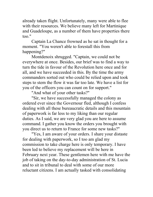already taken flight. Unfortunately, many were able to flee with their resources. We believe many left for Martinique and Guadeloupe, as a number of them have properties there too."

Captain La Chance frowned as he sat in thought for a moment. "You weren't able to forestall this from happening?"

Montdenoix shrugged. "Captain, we could not be everywhere at once. Besides, our brief was to find a way to turn the tide in favour of the Revolution here once and for all, and we have succeeded in this. By the time the army commanders sorted out who could be relied upon and took steps to stem the flow it was far too late. We have a list for you of the officers you can count on for support."

"And what of your other tasks?"

"Sir, we have successfully managed the colony as ordered ever since the Governour fled, although I confess dealing with all these bureaucratic details and this mountain of paperwork is far less to my liking than our regular duties. As I said, we are very glad you are here to assume command. I gather you know the orders you brought with you direct us to return to France for some new tasks?"

"Yes, I am aware of your orders. I share your distaste for dealing with paperwork, so I too am glad my commission to take charge here is only temporary. I have been led to believe my replacement will be here in February next year. These gentlemen here with me have the job of taking on the day-to-day administration of St. Lucia and to sit in tribunal to deal with some of our more reluctant citizens. I am actually tasked with consolidating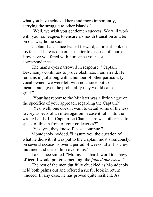what you have achieved here and more importantly, carrying the struggle to other islands."

"Well, we wish you gentlemen success. We will work with your colleagues to ensure a smooth transition and be on our way home soon."

Captain La Chance leaned forward, an intent look on his face. "There is one other matter to discuss, of course. How have you fared with him since your last correspondence?"

The man's eyes narrowed in response. "Captain Deschamps continues to prove obstinate, I am afraid. He remains in jail along with a number of other particularly vocal owners we were left with no choice but to incarcerate, given the probability they would cause us grief."

"Your last report to the Minister was a little vague on the specifics of your approach regarding the Captain?"

"Yes, well, one doesn't want to detail some of the less savory aspects of an interrogation in case it falls into the wrong hands. I— Captain La Chance, are we authorized to speak of this in front of your colleagues?"

"Yes, yes, they know. Please continue."

Montdenoix nodded. "I assure you the question of what he did with it was put to the Captain most strenuously, on several occasions over a period of weeks, after his crew mutinied and turned him over to us."

La Chance smiled. "Mutiny is a harsh word to a navy officer. I would prefer something like *joined our cause*."

The rest of the men dutifully chuckled as Montdenoix held both palms out and offered a rueful look in return. "Indeed. In any case, he has proved quite resilient. As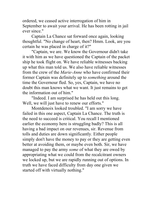ordered, we ceased active interrogation of him in September to await your arrival. He has been rotting in jail ever since."

Captain La Chance sat forward once again, looking thoughtful. "No change of heart, then? Hmm. Look, are you certain he was placed in charge of it?"

"Captain, we are. We know the Governour didn't take it with him as we have questioned the Captain of the packet ship he took flight on. We have reliable witnesses backing up what this man told us. We also have reliable witnesses from the crew of the *Marie-Anne* who have confirmed their former Captain was definitely up to *something* around the time the Governour fled. So, yes, Captain, we have no doubt this man knows what we want. It just remains to get the information out of him."

"Indeed. I am surprised he has held out this long. Well, we will just have to renew our efforts."

Montdenoix looked troubled. "I am sorry we have failed in this one aspect, Captain La Chance. The truth is the need to succeed is critical. You recall I mentioned earlier the economy here is struggling badly? This is all having a bad impact on our revenues, sir. Revenue from tolls and duties are down significantly. Either people simply don't have the money to pay or they are getting even better at avoiding them, or maybe even both. Sir, we have managed to pay the army *some* of what they are owed by appropriating what we could from the recalcitrant owners we locked up, but we are rapidly running out of options. In truth we have faced difficulty from day one given we started off with virtually nothing."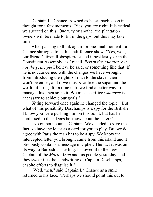Captain La Chance frowned as he sat back, deep in thought for a few moments. "Yes, you are right. It is critical we succeed on this. One way or another the plantation owners will be made to fill in the gaps, but this may take time"

After pausing to think again for one final moment La Chance shrugged to let his indifference show. "Yes, well, our friend Citizen Robespierre stated it best last year in the Constituent Assembly, as I recall. *Perish the colonies, but not the principle* I believe he said, or something like that. If he is not concerned with the changes we have wrought from introducing the rights of man to the slaves then I won't be either, and if we must sacrifice the sugar and the wealth it brings for a time until we find a better way to manage this, then so be it. We must sacrifice *whatever* is necessary to achieve our goals."

Sitting forward once again he changed the topic. "But what of this possibility Deschamps is a spy for the British? I know you were pushing him on this point, but has he confessed to this? Does he know about the letter?"

"No on both counts, Captain. We decided to save the fact we have the letter as a card for you to play. But we do agree with Paris the man has to be a spy. We know the intercepted letter you brought came from this island and it obviously contains a message in cipher. The fact it was on its way to Barbados is telling. I showed it to the new Captain of the *Marie-Anne* and his people yesterday, and they swear it is the handwriting of Captain Deschamps, despite efforts to disguise it."

"Well, then," said Captain La Chance as a smile returned to his face. "Perhaps we should point this out to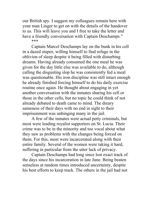our British spy. I suggest my colleagues remain here with your man Linger to get on with the details of the handover to us. This will leave you and I free to take the letter and have a friendly conversation with Captain Deschamps." \*\*\*

Captain Marcel Deschamps lay on the bunk in his cell in a dazed stupor, willing himself to find refuge in the oblivion of sleep despite it being filled with disturbing dreams. Having already consumed the one meal he was given for the day little else was available to do, although calling the disgusting slop he was consistently fed a meal was questionable. His iron discipline was still intact enough he already finished forcing himself to do his daily exercise routine once again. He thought about engaging in yet another conversation with the inmates sharing his cell or those in the other cells, but no topic he could think of not already debated to death came to mind. The dreary sameness of their days with no end in sight to their imprisonment was unhinging many in the jail.

A few of the inmates were actual petty criminals, but most were leading royalist supporters on St. Lucia. Their crime was to be in the minority and too vocal about what they saw as problems with the changes being forced on them. For this, most were incarcerated along with their entire family. Several of the women were taking it hard, suffering in particular from the utter lack of privacy.

Captain Deschamps had long since lost exact track of the days since his incarceration in late June. Being beaten senseless at random times introduced uncertainty, despite his best efforts to keep track. The others in the jail had not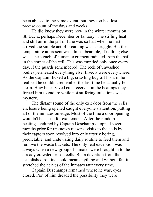been abused to the same extent, but they too had lost precise count of the days and weeks.

He did know they were now in the winter months on St. Lucia, perhaps December or January. The stifling heat and still air in the jail in June was so bad when he first arrived the simple act of breathing was a struggle. But the temperature at present was almost bearable, if nothing else was. The stench of human excrement radiated from the pail in the corner of the cell. This was emptied only once every day, if the guards remembered. The reek of unwashed bodies permeated everything else. Insects were everywhere. As the Captain flicked a big, crawling bug off his arm he realized he couldn't remember the last time he actually felt clean. How he survived cuts received in the beatings they forced him to endure while not suffering infections was a mystery.

The distant sound of the only exit door from the cells enclosure being opened caught everyone's attention, putting all of the inmates on edge. Most of the time a door opening wouldn't be cause for excitement. After the random beatings endured by Captain Deschamps stopped several months prior for unknown reasons, visits to the cells by their captors soon resolved into only utterly boring, predictable, and undeviating daily routine to feed them and remove the waste buckets. The only real exception was always when a new group of inmates were brought in to the already crowded prison cells. But a deviation from the established routine could mean anything and without fail it stretched the nerves of the inmates taut every time.

Captain Deschamps remained where he was, eyes closed. Part of him dreaded the possibility they were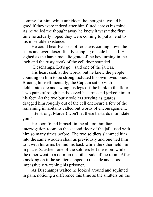coming for him, while unbidden the thought it would be good if they were indeed after him flitted across his mind. As he willed the thought away he knew it wasn't the first time he actually hoped they were coming to put an end to his miserable existence.

He could hear two sets of footsteps coming down the stairs and ever closer, finally stopping outside his cell. He sighed as the harsh metallic grate of the key turning in the lock and the rusty creak of the cell door sounded.

"Deschamps. Let's go," said one of the jailers.

His heart sank at the words, but he knew the people counting on him to be strong included his own loved ones. Bracing himself mentally, the Captain sat up with deliberate care and swung his legs off the bunk to the floor. Two pairs of rough hands seized his arms and jerked him to his feet. As the two burly soldiers serving as guards dragged him roughly out of the cell enclosure a few of the remaining inhabitants called out words of encouragement.

"Be strong, Marcel! Don't let these bastards intimidate you!"

He soon found himself in the all too familiar interrogation room on the second floor of the jail, used with him so many times before. The two soldiers slammed him into the same wooden chair as previously and one tied him to it with his arms behind his back while the other held him in place. Satisfied, one of the soldiers left the room while the other went to a door on the other side of the room. After knocking on it the soldier stepped to the side and stood impassively watching his prisoner.

As Deschamps waited he looked around and squinted in pain, noticing a difference this time as the shutters on the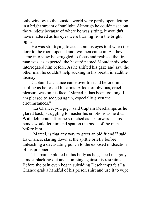only window to the outside world were partly open, letting in a bright stream of sunlight. Although he couldn't see out the window because of where he was sitting, it wouldn't have mattered as his eyes were burning from the bright light.

He was still trying to accustom his eyes to it when the door to the room opened and two men came in. As they came into view he struggled to focus and realized the first man was, as expected, the bastard named Montdenoix who interrogated him before. As he shifted his gaze and saw the other man he couldn't help sucking in his breath in audible dismay.

Captain La Chance came over to stand before him, smiling as he folded his arms. A look of obvious, cruel pleasure was on his face. "Marcel, it has been too long. I am pleased to see you again, especially given the circumstances."

"La Chance, you pig," said Captain Deschamps as he glared back, struggling to master his emotions as he did. With deliberate effort he stretched as far forward as his bonds would let him and spat on the boots of the man before him.

"Marcel, is that any way to greet an old friend?" said La Chance, staring down at the spittle briefly before unleashing a devastating punch to the exposed midsection of his prisoner.

The pain exploded in his body as he gasped in agony, almost blacking out and slumping against his restraints. Before the pain even began subsiding Deschamps felt La Chance grab a handful of his prison shirt and use it to wipe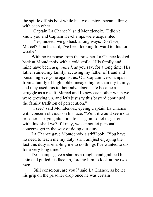the spittle off his boot while his two captors began talking with each other.

"Captain La Chance?" said Montdenoix. "I didn't know you and Captain Deschamps were acquainted."

"Yes, indeed, we go back a long ways. Don't we, Marcel? You bastard, I've been looking forward to this for weeks."

With no response from the prisoner La Chance looked back at Montdenoix with a cold smile. "His family and mine have been *acquainted*, as you say, for a long time. His father ruined my family, accusing my father of fraud and poisoning everyone against us. Our Captain Deschamps is from a family of high noble lineage, higher than my family, and they used this to their advantage. Life became a struggle as a result. Marcel and I knew each other when we were growing up, and let's just say this bastard continued the family tradition of persecution."

"I see," said Montdenoix, eyeing Captain La Chance with concern obvious on his face. "Well, it would seem our prisoner is paying attention to us again, so let us get on with this, shall we? If I may, we cannot let personal concerns get in the way of doing our duty."

La Chance gave Montdenoix a stiff look. "You have no need to teach me my duty, sir. I am just enjoying the fact this duty is enabling me to do things I've wanted to do for a very long time."

Deschamps gave a start as a rough hand grabbed his chin and pulled his face up, forcing him to look at the two men.

"Still conscious, are you?" said La Chance, as he let his grip on the prisoner drop once he was certain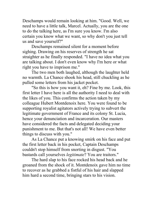Deschamps would remain looking at him. "Good. Well, we need to have a little talk, Marcel. Actually, you are the one to do the talking here, as I'm sure you know. I'm also certain you know what we want, so why don't you just tell us and save yourself?"

Deschamps remained silent for a moment before sighing. Drawing on his reserves of strength he sat straighter as he finally responded. "I have no idea what you are talking about. I don't even know why I'm here or what right you have to imprison me."

The two men both laughed, although the laughter held no warmth. La Chance shook his head, still chuckling as he pulled some letters from his jacket pocket.

"So this is how you want it, eh? Fine by me. Look, this first letter I have here is all the authority I need to deal with the likes of you. This confirms the action taken by my colleague Hubert Montdenoix here. You were found to be supporting royalist agitators actively trying to subvert the legitimate government of France and its colony St. Lucia, hence your denunciation and incarceration. Our masters have considered the facts and delegated deciding your punishment to me. But that's not all! We have even better things to discuss with you."

As La Chance put a knowing smirk on his face and put the first letter back in his pocket, Captain Deschamps couldn't stop himself from snorting in disgust. "You bastards call yourselves *legitimate*? You are traitors."

The hard slap to his face rocked his head back and he groaned from the shock of it. Montdenoix gave him no time to recover as he grabbed a fistful of his hair and slapped him hard a second time, bringing stars to his vision.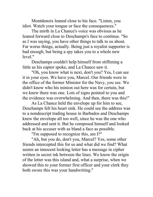Montdenoix leaned close to his face. "Listen, you idiot. Watch your tongue or face the consequences."

The mirth in La Chance's voice was obvious as he leaned forward close to Deschamps's face to continue. "So as I was saying, you have other things to talk to us about. Far worse things, actually. Being just a royalist supporter is bad enough, but being a spy takes you to a whole new level."

Deschamps couldn't help himself from stiffening a little as his captor spoke, and La Chance saw it.

"Oh, you know what is next, don't you? Yes, I can see it in your eyes. We have you, Marcel. Our friends were in the office of the former Minister for the Navy, you see. We didn't know who his minion out here was for certain, but we knew there was one. Lots of signs pointed to you and the evidence was overwhelming. And then, there was this!"

As La Chance held the envelope up for him to see, Deschamps felt his heart sink. He could see the address was to a nondescript trading house in Barbados and Deschamps knew the envelope all too well, since he was the one who addressed and sent it. But he composed himself and looked back at his accuser with as bland a face as possible.

"I'm supposed to recognize this, am I?"

"Ah, but you do, don't you, Marcel? Yes, some other friends intercepted this for us and what did we find? What seems an innocent looking letter has a message in cipher written in secret ink between the lines. We know the origin of the letter was this island and, what a surprise, when we showed this to your former first officer and your clerk they both swore this was your handwriting."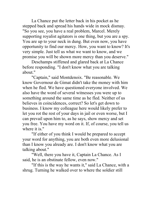La Chance put the letter back in his pocket as he stepped back and spread his hands wide in mock dismay. "So you see, you have a real problem, Marcel. Merely supporting royalist agitators is one thing, but you are a spy. You are up to your neck in dung. But even now, you have opportunity to find our mercy. How, you want to know? It's very simple. Just tell us what we want to know, and we promise you will be shown more mercy than you deserve."

Deschamps stiffened and glared back at La Chance before responding. "I don't know what you are talking about."

"Captain," said Montdenoix. "Be reasonable. We know Governour de Gimat didn't take the money with him when he fled. We have questioned everyone involved. We also have the word of several witnesses you were up to something around the same time as he fled. Neither of us believes in coincidences, correct? So let's get down to business. I know my colleague here would likely prefer to let you rot the rest of your days in jail or even worse, but I can prevail upon him to, as he says, show mercy and set you free. You have my word on it. If, of course, you tell us where it is."

"If either of you think I would be prepared to accept your word for anything, you are both even more delusional than I know you already are. I don't know what you are talking about."

"Well, there you have it, Captain La Chance. As I said, he is an obstinate fellow, even now."

"If this is the way he wants it," said La Chance, with a shrug. Turning he walked over to where the soldier still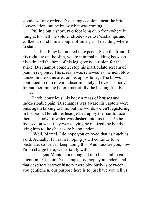stood awaiting orders. Deschamps couldn't hear the brief conversation, but he knew what was coming.

Pulling out a short, two foot long club from where it hung at his belt the soldier strode over to Deschamps and walked around him a couple of times, as if deciding where to start.

The first blow hammered unexpectedly on the front of his right leg on the shin, where minimal padding between his skin and the bone of his leg gave no cushion for the strike. Deschamps couldn't stop his inarticulate scream of pain in response. The scream was renewed as the next blow landed in the same area on his opposite leg. The blows continued to rain down indiscriminately all over his body for another minute before mercifully the beating finally ceased.

Barely conscious, his body a mass of bruises and indescribable pain, Deschamps was aware his captors were once again talking to him, but the words weren't registering in his brain. He felt his head jerked up by the hair to face them as a bowl of water was dashed into his face. As he focused on what they were saying he realized the bonds tying him to the chair were being undone.

"Well, Marcel, I do hope you enjoyed that as much as I did. Actually, I'm rather hoping you'll continue to be obstinate, so we can keep doing this. And I assure you, now I'm in charge here, we certainly will."

The agent Montdenoix coughed into his hand to gain attention. "Captain Deschamps, I do hope you understand that despite whatever history there obviously is between you gentlemen, our purpose here is to just have you tell us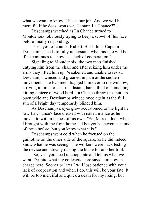what we want to know. This is our job. And we will be merciful if he does, *won't we*, Captain La Chance?"

Deschamps watched as La Chance turned to Montdenoix, obviously trying to keep a scowl off his face before finally responding.

"Yes, yes, of course, Hubert. But I think Captain Deschamps needs to fully understand what his fate will be if he continues to show us a lack of cooperation."

Signaling to Montdenoix, the two men finished untying him from the chair and after seizing him under the arms they lifted him up. Weakened and unable to resist, Deschamps winced and groaned in pain at the sudden movement. The two men dragged him over to the window, arriving in time to hear the distant, harsh thud of something hitting a piece of wood hard. La Chance threw the shutters open wide and Deschamps winced once again as the full sun of a bright day temporarily blinded him.

As Deschamps's eyes grew accustomed to the light he saw La Chance's face creased with naked malice as he moved to within inches of his own. "So, Marcel, look what I brought with me from home. I'll bet you've never seen one of these before, but you know what it is."

Deschamps went cold when he focused on the guillotine on the other side of the square, as he did indeed know what he was seeing. The workers were back testing the device and already raising the blade for another trial.

"So, yes, you need to cooperate and tell us what we want. Despite what my colleague here says I am now in charge here. Sooner or later I will lose patience with your lack of cooperation and when I do, this will be your fate. It will be too merciful and quick a death for my liking, but